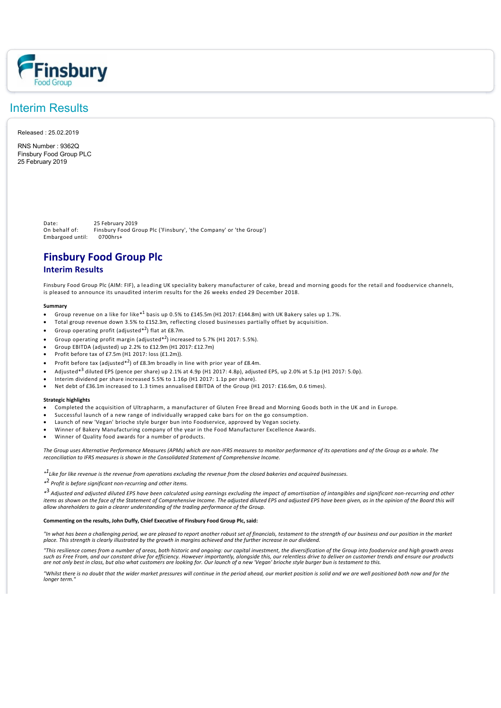

## Interim Results

### Released : 25.02.2019

RNS Number : 9362Q Finsbury Food Group PLC 25 February 2019

> Date: 25 February 2019<br>On hehalf of: Finshury Food Gr Finsbury Food Group Plc ('Finsbury', 'the Company' or 'the Group')<br>0700hrs+ Embargoed until:

## **Finsbury Food Group Plc**

## **Interim Results**

Finsbury Food Group Plc (AIM: FIF), a leading UK speciality bakery manufacturer of cake, bread and morning goods for the retail and foodservice channels, is pleased to announce its unaudited interim results for the 26 weeks ended 29 December 2018.

### **Summary**

- Group revenue on a like for like $*1$  basis up 0.5% to £145.5m (H1 2017: £144.8m) with UK Bakery sales up 1.7%.
- Total group revenue down 3.5% to £152.3m, reflecting closed businesses partially offset by acquisition.
- Group operating profit (adjusted $*^2$ ) flat at £8.7m.
- Group operating profit margin (adjusted $*^2$ ) increased to 5.7% (H1 2017: 5.5%).
- · Group EBITDA (adjusted) up 2.2% to £12.9m (H1 2017: £12.7m)
- Profit before tax of £7.5m (H1 2017: loss (£1.2m)).
- Profit before tax (adjusted $*^2$ ) of £8.3m broadly in line with prior year of £8.4m.
- Adjusted $*^3$  diluted EPS (pence per share) up 2.1% at 4.9p (H1 2017: 4.8p), adjusted EPS, up 2.0% at 5.1p (H1 2017: 5.0p).
- Interim dividend per share increased 5.5% to 1.16p (H1 2017: 1.1p per share).
- Net debt of £36.1m increased to 1.3 times annualised EBITDA of the Group (H1 2017: £16.6m, 0.6 times).

### **Strategic highlights**

- · Completed the acquisition of Ultrapharm, a manufacturer of Gluten Free Bread and Morning Goods both in the UK and in Europe.
- · Successful launch of a new range of individually wrapped cake bars for on the go consumption.
- Launch of new 'Vegan' brioche style burger bun into Foodservice, approved by Vegan society.
- · Winner of Bakery Manufacturing company of the year in the Food Manufacturer Excellence Awards.
- Winner of Quality food awards for a number of products.

*The Group uses Alternative Performance Measures (APMs) which are non‐IFRS measures to monitor performance of its operations and of the Group as a whole. The reconciliation to IFRS measures is shown in the Consolidated Statement of Comprehensive Income.*

*\* 1 Like for like revenue is the revenue from operations excluding the revenue from the closed bakeries and acquired businesses.*

*\** <sup>2</sup>*Profit is before significant non‐recurring and other items.*

*\** 3  *Adjusted and adjusted diluted EPS have been calculated using earnings excluding the impact of amortisation of intangibles and significant non‐recurring and other items as shown on the face of the Statement of Comprehensive Income. The adjusted diluted EPS and adjusted EPS have been given, as in the opinion of the Board this will allow shareholders to gain a clearer understanding of the trading performance of the Group.*

### **Commenting on the results, John Duffy, Chief Executive of Finsbury Food Group Plc, said:**

"In what has been a challenging period, we are pleased to report another robust set of financials, testament to the strength of our business and our position in the market<br>place. This strength is clearly illustrated by the

"This resilience comes from a number of areas, both historic and ongoing: our capital investment, the diversification of the Group into foodservice and high growth areas<br>such as Free From, and our constant drive for effici

*"Whilst there is no doubt that the wider market pressures will continue in the period ahead, our market position is solid and we are well positioned both now and for the longer term.*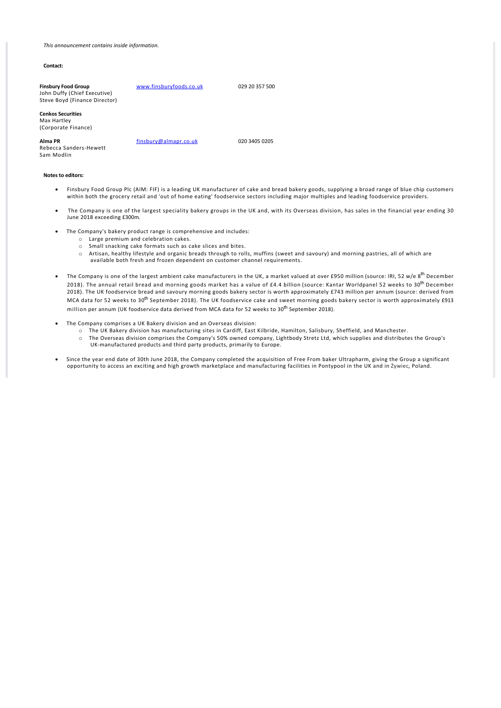*This announcement contains inside information.*

### **Contact:**

| <b>Finsbury Food Group</b><br>John Duffy (Chief Executive)<br>Steve Boyd (Finance Director) | www.finsburyfoods.co.uk | 029 20 357 500 |
|---------------------------------------------------------------------------------------------|-------------------------|----------------|
| <b>Cenkos Securities</b><br>Max Hartley<br>(Corporate Finance)                              |                         |                |
| Alma PR                                                                                     | finsbury@almapr.co.uk   | 020 3405 0205  |

Rebecca Sanders‐Hewett Sam Modlin

### **Notes to editors:**

- · Finsbury Food Group Plc (AIM: FIF) is a leading UK manufacturer of cake and bread bakery goods, supplying a broad range of blue chip customers within both the grocery retail and 'out of home eating' foodservice sectors including major multiples and leading foodservice providers.
- · The Company is one of the largest speciality bakery groups in the UK and, with its Overseas division, has sales in the financial year ending 30 June 2018 exceeding £300m.
- · The Company's bakery product range is comprehensive and includes:
	- o Large premium and celebration cakes.
	- o Small snacking cake formats such as cake slices and bites.
	- o Artisan, healthy lifestyle and organic breads through to rolls, muffins (sweet and savoury) and morning pastries, all of which are available both fresh and frozen dependent on customer channel requirements.
- The Company is one of the largest ambient cake manufacturers in the UK, a market valued at over £950 million (source: IRI, 52 w/e 8<sup>th</sup> December 2018). The annual retail bread and morning goods market has a value of £4.4 billion (source: Kantar Worldpanel 52 weeks to 30<sup>th</sup> December 2018). The UK foodservice bread and savoury morning goods bakery sector is worth approximately £743 million per annum (source: derived from MCA data for 52 weeks to 30<sup>th</sup> September 2018). The UK foodservice cake and sweet morning goods bakery sector is worth approximately £913 million per annum (UK foodservice data derived from MCA data for 52 weeks to 30<sup>th</sup> September 2018).
- The Company comprises a UK Bakery division and an Overseas division:
	- o The UK Bakery division has manufacturing sites in Cardiff, East Kilbride, Hamilton, Salisbury, Sheffield, and Manchester.
	- $\circ$  The Overseas division comprises the Company's 50% owned company, Lightbody Stretz Ltd, which supplies and distributes the Group's UK‐manufactured products and third party products, primarily to Europe.
- · Since the year end date of 30th June 2018, the Company completed the acquisition of Free From baker Ultrapharm, giving the Group a significant opportunity to access an exciting and high growth marketplace and manufacturing facilities in Pontypool in the UK and in Żywiec, Poland.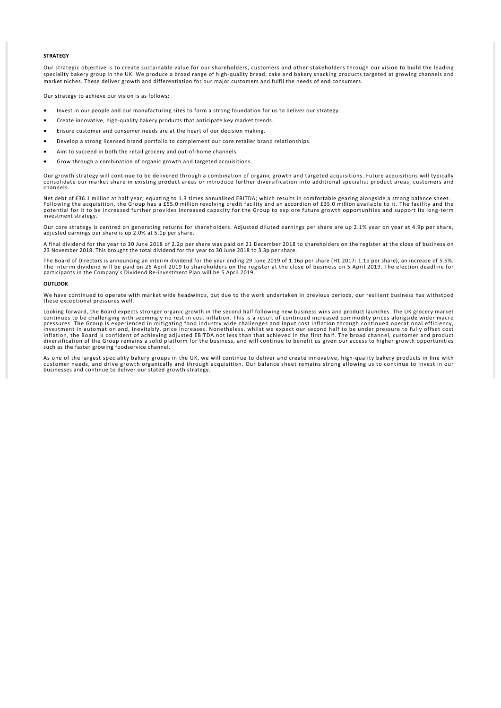#### **STRATEGY**

Our strategic objective is to create sustainable value for our shareholders, customers and other stakeholders through our vision to build the leading speciality bakery group in the UK. We produce a broad range of high-quality bread, cake and bakery snacking products targeted at growing channels and market niches. These deliver growth and differentiation for our major customers and fulfil the needs of end consumers.

Our strategy to achieve our vision is as follows:

- · Invest in our people and our manufacturing sites to form a strong foundation for us to deliver our strategy.
- Create innovative, high-quality bakery products that anticipate key market trends.
- · Ensure customer and consumer needs are at the heart of our decision making.
- · Develop a strong licensed brand portfolio to complement our core retailer brand relationships.
- Aim to succeed in both the retail grocery and out-of-home channels.
- Grow through a combination of organic growth and targeted acquisitions.

Our growth strategy will continue to be delivered through a combination of organic growth and targeted acquisitions. Future acquisitions will typically<br>consolidate our market share in existing product areas or introduce fu channels.

Net debt of £36.1 million at half year, equating to 1.3 times annualised EBITDA; which results in comfortable gearing alongside a strong balance sheet.<br>Following the acquisition, the Group has a E55.0 million revolving cre investment strategy.

Our core strategy is centred on generating returns for shareholders. Adjusted diluted earnings per share are up 2.1% year on year at 4.9p per share, adjusted earnings per share is up 2.0% at 5.1p per share.

A final dividend for the year to 30 June 2018 of 2.2p per share was paid on 21 December 2018 to shareholders on the register at the close of business on<br>23 November 2018. This brought the total dividend for the year to 30

The Board of Directors is announcing an interim dividend for the year ending 29 June 2019 of 1.16p per share (H1 2017: 1.1p per share), an increase of 5.5%.<br>The interim dividend will be paid on 26 April 2019 to shareholder participants in the Company's Dividend Re‐investment Plan will be 5 April 2019.

### **OUTLOOK**

We have continued to operate with market wide headwinds, but due to the work undertaken in previous periods, our resilient business has withstood these exceptional pressures well.

Looking forward, the Board expects stronger organic growth in the second half following new business wins and product launches. The UK grocery market<br>continues to be challenging with seemingly no rest in cost inflation. Th diversification of the Group remains a solid platform for the business, and will continue to benefit us given our access to higher growth opportunities such as the faster growing foodservice channel.

As one of the largest speciality bakery groups in the UK, we will continue to deliver and create innovative, high-quality bakery products in line with<br>customer needs, and drive growth organically and through acquisition. O businesses and continue to deliver our stated growth strategy.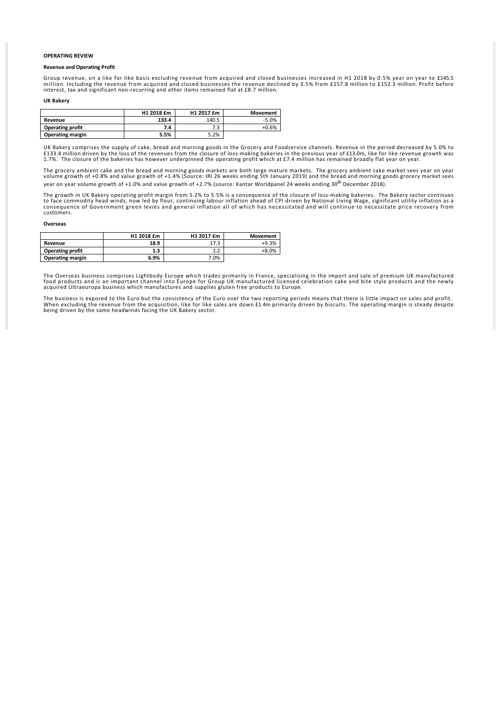### **OPERATING REVIEW**

### **Revenue and Operating Profit**

Group revenue, on a like for like basis excluding revenue from acquired and closed businesses increased in H1 2018 by 0.5% year on year to £145.5<br>million. Including the revenue from acquired and closed businesses the reven

### **UK Bakery**

|                         | H1 2018 fm | H1 2017 fm | Movement |
|-------------------------|------------|------------|----------|
| Revenue                 | 133.4      | 140.5      | $-5.0%$  |
| <b>Operating profit</b> | 7.4        | .          | $+0.6%$  |
| <b>Operating margin</b> | 5.5%       | 5.2%       |          |

UK Bakery comprises the supply of cake, bread and morning goods in the Grocery and Foodservice channels. Revenue in the period decreased by 5.0% to<br>£133.4 million driven by the loss of the revenues from the closure of loss 1.7%. The closure of the bakeries has however underpinned the operating profit which at £7.4 million has remained broadly flat year on year.

The grocery ambient cake and the bread and morning goods markets are both large mature markets. The grocery ambient cake market sees year on year<br>volume growth of +0.8% and value growth of +1.4% (Source: IRI 26 weeks endin year on year volume growth of +1.0% and value growth of +2.7% (source: Kantar Worldpanel 24 weeks ending 30<sup>th</sup> December 2018).

The growth in UK Bakery operating profit margin from 5.2% to 5.5% is a consequence of the closure of loss-making bakeries. The Bakery sector continues<br>to face commodity head winds, now led by flour, continuing labour infl

### **Overseas**

|                         | H1 2018 £m | H1 2017 fm | <b>Movement</b> |
|-------------------------|------------|------------|-----------------|
| Revenue                 | 18.9       | 17.3       | +9.3%           |
| <b>Operating profit</b> | 1.3        | ⊥.∠        | $+8.0%$         |
| <b>Operating margin</b> | 6.9%       | 7.0%       |                 |

The Overseas business comprises Lightbody Europe which trades primarily in France, specialising in the import and sale of premium UK manufactured<br>food products and is an important channel into Europe for Group UK manufactu

The business is exposed to the Euro but the consistency of the Euro over the two reporting periods means that there is little impact on sales and profit.<br>When excluding the revenue from the acquisition, like for like sales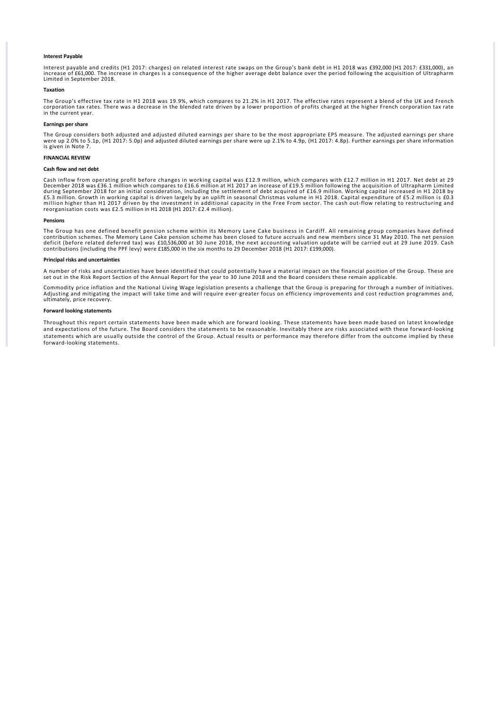### **Interest Payable**

Interest payable and credits (H1 2017: charges) on related interest rate swaps on the Group's bank debt in H1 2018 was £392,000 (H1 2017: £331,000), an<br>increase of £61,000. The increase in charges is a consequence of the h Limited in September 2018.

#### **Taxation**

The Group's effective tax rate in H1 2018 was 19.9%, which compares to 21.2% in H1 2017. The effective rates represent a blend of the UK and French corporation tax rates. There was a decrease in the blended rate driven by a lower proportion of profits charged at the higher French corporation tax rate in the current year.

### **Earnings per share**

The Group considers both adjusted and adjusted diluted earnings per share to be the most appropriate EPS measure. The adjusted earnings per share<br>were up 2.0% to 5.1p, (H1 2017: 5.0p) and adjusted diluted earnings per shar is given in Note 7.

### **FINANCIAL REVIEW**

### **Cash flow and net debt**

Cash inflow from operating profit before changes in working capital was f12.9 million, which compares with f12.7 million in H1 2017. Net debt at 29<br>December 2018 was f36.1 million which compares to f16.6 million at H1 2017

#### **Pensions**

The Group has one defined benefit pension scheme within its Memory Lane Cake business in Cardiff. All remaining group companies have defined contribution schemes. The Memory Lane Cake pension scheme has been closed to future accruals and new members since 31 May 2010. The net pension<br>deficit (before related deferred tax) was £10,536,000 at 30 June 2018, the nex contributions (including the PPF levy) were £185,000 in the six months to 29 December 2018 (H1 2017: £199,000).

#### **Principal risks and uncertainties**

A number of risks and uncertainties have been identified that could potentially have a material impact on the financial position of the Group. These are set out in the Risk Report Section of the Annual Report for the year to 30 June 2018 and the Board considers these remain applicable.

Commodity price inflation and the National Living Wage legislation presents a challenge that the Group is preparing for through a number of initiatives.<br>Adjusting and mitigating the impact will take time and will require e

### **Forward looking statements**

Throughout this report certain statements have been made which are forward looking. These statements have been made based on latest knowledge and expectations of the future. The Board considers the statements to be reasonable. Inevitably there are risks associated with these forward‐looking statements which are usually outside the control of the Group. Actual results or performance may therefore differ from the outcome implied by these forward‐looking statements.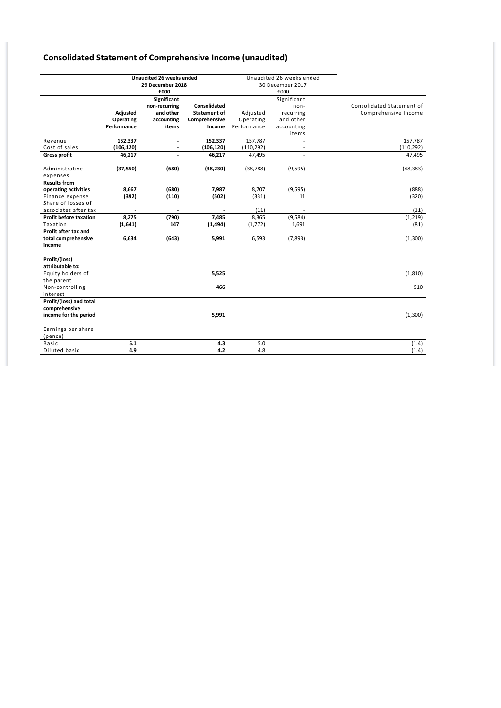# **Consolidated Statement of Comprehensive Income (unaudited)**

|                                   |                          | Unaudited 26 weeks ended |                     |             | Unaudited 26 weeks ended |                           |
|-----------------------------------|--------------------------|--------------------------|---------------------|-------------|--------------------------|---------------------------|
|                                   |                          | 29 December 2018         |                     |             | 30 December 2017         |                           |
|                                   |                          | £000                     |                     |             | £000                     |                           |
|                                   |                          | Significant              |                     |             | Significant              |                           |
|                                   |                          | non-recurring            | <b>Consolidated</b> |             | non-                     | Consolidated Statement of |
|                                   | Adjusted                 | and other                | <b>Statement of</b> | Adjusted    | recurring                | Comprehensive Income      |
|                                   | Operating                | accounting               | Comprehensive       | Operating   | and other                |                           |
|                                   | Performance              | items                    | Income              | Performance | accounting               |                           |
|                                   |                          |                          |                     |             | items                    |                           |
| Revenue                           | 152,337                  | $\overline{a}$           | 152,337             | 157,787     |                          | 157,787                   |
| Cost of sales                     | (106, 120)               | $\overline{\phantom{a}}$ | (106, 120)          | (110, 292)  |                          | (110, 292)                |
| <b>Gross profit</b>               | 46,217                   |                          | 46,217              | 47,495      |                          | 47,495                    |
| Administrative                    | (37, 550)                | (680)                    | (38, 230)           | (38, 788)   | (9, 595)                 | (48, 383)                 |
| expenses                          |                          |                          |                     |             |                          |                           |
| <b>Results from</b>               |                          |                          |                     |             |                          |                           |
| operating activities              | 8,667                    | (680)                    | 7,987               | 8,707       | (9, 595)                 | (888)                     |
| Finance expense                   | (392)                    | (110)                    | (502)               | (331)       | 11                       | (320)                     |
| Share of losses of                |                          |                          |                     |             |                          |                           |
| associates after tax              | $\overline{\phantom{a}}$ | $\overline{\phantom{a}}$ | $\overline{a}$      | (11)        | $\sim$                   | (11)                      |
| <b>Profit before taxation</b>     | 8,275                    | (790)                    | 7,485               | 8,365       | (9,584)                  | (1, 219)                  |
| Taxation                          | (1,641)                  | 147                      | (1, 494)            | (1, 772)    | 1,691                    | (81)                      |
| Profit after tax and              |                          |                          |                     |             |                          |                           |
| total comprehensive               | 6,634                    | (643)                    | 5,991               | 6,593       | (7,893)                  | (1,300)                   |
| income                            |                          |                          |                     |             |                          |                           |
| Profit/(loss)<br>attributable to: |                          |                          |                     |             |                          |                           |
| Equity holders of                 |                          |                          | 5,525               |             |                          | (1, 810)                  |
| the parent                        |                          |                          |                     |             |                          |                           |
| Non-controlling                   |                          |                          | 466                 |             |                          | 510                       |
| interest                          |                          |                          |                     |             |                          |                           |
| Profit/(loss) and total           |                          |                          |                     |             |                          |                           |
| comprehensive                     |                          |                          |                     |             |                          |                           |
| income for the period             |                          |                          | 5,991               |             |                          | (1,300)                   |
|                                   |                          |                          |                     |             |                          |                           |
| Earnings per share                |                          |                          |                     |             |                          |                           |
| (pence)                           |                          |                          |                     |             |                          |                           |
| <b>Basic</b>                      | 5.1                      |                          | 4.3                 | 5.0         |                          | (1.4)                     |
| Diluted basic                     | 4.9                      |                          | 4.2                 | 4.8         |                          | (1.4)                     |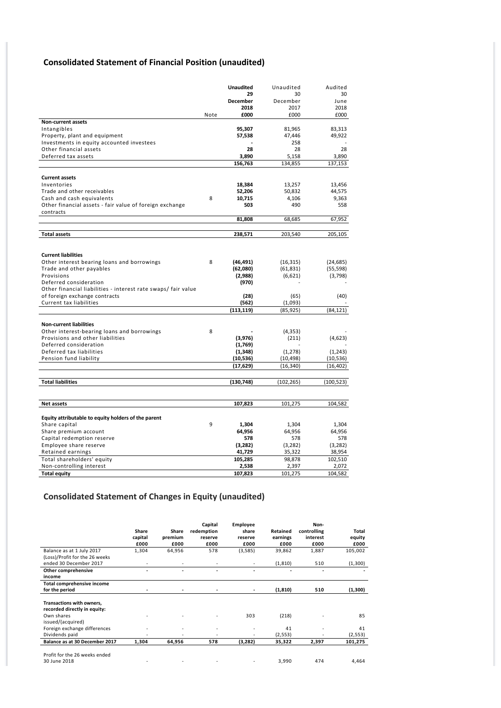# **Consolidated Statement of Financial Position (unaudited)**

|                                                               |      | <b>Unaudited</b> | Unaudited  | Audited    |
|---------------------------------------------------------------|------|------------------|------------|------------|
|                                                               |      | 29               | 30         | 30         |
|                                                               |      | December         | December   | June       |
|                                                               |      | 2018             | 2017       | 2018       |
|                                                               | Note | £000             | £000       | £000       |
| Non-current assets                                            |      |                  |            |            |
| Intangibles                                                   |      | 95,307           | 81,965     | 83,313     |
| Property, plant and equipment                                 |      | 57,538           | 47,446     | 49,922     |
| Investments in equity accounted investees                     |      |                  | 258        |            |
| Other financial assets                                        |      | 28               | 28         | 28         |
| Deferred tax assets                                           |      | 3,890            | 5,158      | 3,890      |
|                                                               |      | 156,763          | 134,855    | 137,153    |
|                                                               |      |                  |            |            |
| <b>Current assets</b>                                         |      |                  |            |            |
| Inventories                                                   |      | 18,384           | 13,257     | 13,456     |
| Trade and other receivables                                   |      | 52,206           | 50,832     | 44,575     |
| Cash and cash equivalents                                     | 8    | 10,715           | 4,106      | 9,363      |
| Other financial assets - fair value of foreign exchange       |      | 503              | 490        | 558        |
| contracts                                                     |      |                  |            |            |
|                                                               |      | 81,808           | 68,685     | 67,952     |
| <b>Total assets</b>                                           |      | 238,571          | 203,540    | 205,105    |
|                                                               |      |                  |            |            |
|                                                               |      |                  |            |            |
| <b>Current liabilities</b>                                    |      |                  |            |            |
| Other interest bearing loans and borrowings                   | 8    | (46, 491)        | (16, 315)  | (24, 685)  |
| Trade and other payables                                      |      | (62,080)         | (61, 831)  | (55, 598)  |
| Provisions                                                    |      | (2,988)          | (6, 621)   | (3,798)    |
| Deferred consideration                                        |      | (970)            |            |            |
|                                                               |      |                  |            |            |
| Other financial liabilities - interest rate swaps/ fair value |      |                  |            |            |
| of foreign exchange contracts                                 |      | (28)             | (65)       | (40)       |
| Current tax liabilities                                       |      | (562)            | (1,093)    |            |
|                                                               |      | (113, 119)       | (85, 925)  | (84, 121)  |
| <b>Non-current liabilities</b>                                |      |                  |            |            |
|                                                               | 8    |                  |            |            |
| Other interest-bearing loans and borrowings                   |      |                  | (4, 353)   |            |
| Provisions and other liabilities                              |      | (3,976)          | (211)      | (4,623)    |
| Deferred consideration                                        |      | (1,769)          |            |            |
| Deferred tax liabilities                                      |      | (1, 348)         | (1, 278)   | (1, 243)   |
| Pension fund liability                                        |      | (10, 536)        | (10, 498)  | (10, 536)  |
|                                                               |      | (17, 629)        | (16, 340)  | (16, 402)  |
|                                                               |      |                  |            |            |
| <b>Total liabilities</b>                                      |      | (130,748)        | (102, 265) | (100, 523) |
|                                                               |      |                  |            |            |
| Net assets                                                    |      | 107,823          | 101,275    | 104,582    |
|                                                               |      |                  |            |            |
| Equity attributable to equity holders of the parent           |      |                  |            |            |
| Share capital                                                 | 9    | 1,304            | 1,304      | 1,304      |
| Share premium account                                         |      | 64,956           | 64,956     | 64,956     |
| Capital redemption reserve                                    |      | 578              | 578        | 578        |
| Employee share reserve                                        |      | (3, 282)         | (3, 282)   | (3, 282)   |
| Retained earnings                                             |      | 41,729           | 35,322     | 38,954     |
| Total shareholders' equity                                    |      | 105,285          | 98,878     | 102,510    |
| Non-controlling interest                                      |      | 2,538            | 2,397      | 2,072      |
| <b>Total equity</b>                                           |      | 107,823          | 101,275    | 104,582    |

## **Consolidated Statement of Changes in Equity (unaudited)**

|                                                                         | Share<br>capital<br>£000 | Share<br>premium<br>£000 | Capital<br>redemption<br>reserve<br>£000 | <b>Employee</b><br>share<br>reserve<br>£000 | Retained<br>earnings<br>£000 | Non-<br>controlling<br>interest<br>£000 | Total<br>equity<br>£000 |
|-------------------------------------------------------------------------|--------------------------|--------------------------|------------------------------------------|---------------------------------------------|------------------------------|-----------------------------------------|-------------------------|
| Balance as at 1 July 2017                                               | 1,304                    | 64,956                   | 578                                      | (3,585)                                     | 39,862                       | 1,887                                   | 105,002                 |
| (Loss)/Profit for the 26 weeks                                          |                          |                          |                                          |                                             |                              |                                         |                         |
| ended 30 December 2017                                                  |                          |                          |                                          | $\overline{\phantom{a}}$                    | (1, 810)                     | 510                                     | (1,300)                 |
| Other comprehensive                                                     |                          |                          |                                          | ٠                                           |                              |                                         |                         |
| income                                                                  |                          |                          |                                          |                                             |                              |                                         |                         |
| Total comprehensive income                                              |                          |                          |                                          |                                             |                              |                                         |                         |
| for the period                                                          |                          |                          |                                          | ٠                                           | (1, 810)                     | 510                                     | (1,300)                 |
| Transactions with owners,<br>recorded directly in equity:<br>Own shares |                          |                          |                                          | 303                                         | (218)                        |                                         | 85                      |
| issued/(acquired)                                                       |                          |                          |                                          |                                             |                              |                                         |                         |
| Foreign exchange differences                                            |                          |                          |                                          |                                             | 41                           |                                         | 41                      |
| Dividends paid                                                          |                          |                          |                                          | $\overline{\phantom{a}}$                    | (2, 553)                     |                                         | (2, 553)                |
| Balance as at 30 December 2017                                          | 1,304                    | 64,956                   | 578                                      | (3, 282)                                    | 35,322                       | 2,397                                   | 101,275                 |
| Profit for the 26 weeks ended<br>30 June 2018                           |                          |                          |                                          |                                             | 3,990                        | 474                                     | 4,464                   |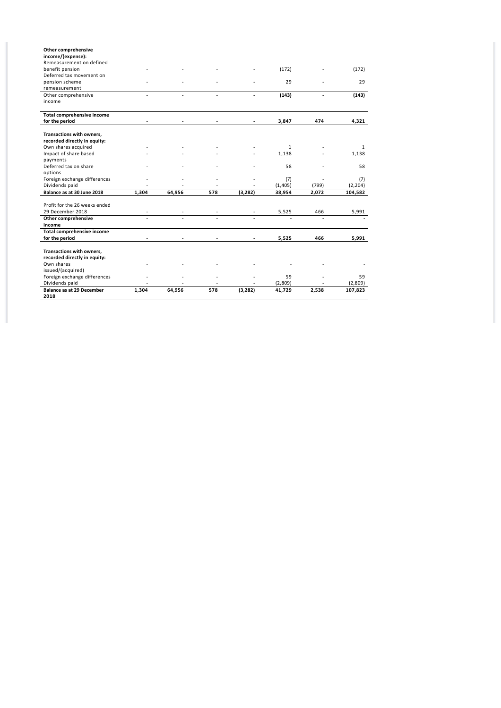| Other comprehensive<br>income/(expense):                  |       |        |     |          |                   |                |                     |
|-----------------------------------------------------------|-------|--------|-----|----------|-------------------|----------------|---------------------|
| Remeasurement on defined                                  |       |        |     |          |                   |                |                     |
| benefit pension                                           |       |        |     |          | (172)             |                | (172)               |
| Deferred tax movement on                                  |       |        |     |          |                   |                |                     |
| pension scheme                                            |       |        |     |          | 29                |                | 29                  |
| remeasurement                                             |       |        |     |          |                   |                |                     |
| Other comprehensive                                       |       |        |     | ä,       | (143)             |                | (143)               |
| income                                                    |       |        |     |          |                   |                |                     |
| Total comprehensive income                                |       |        |     |          |                   |                |                     |
| for the period                                            |       |        |     |          | 3,847             | 474            | 4,321               |
|                                                           |       |        |     |          |                   |                |                     |
| Transactions with owners,                                 |       |        |     |          |                   |                |                     |
| recorded directly in equity:                              |       |        |     |          |                   |                |                     |
| Own shares acquired                                       |       |        |     |          | $\mathbf{1}$      |                | 1                   |
| Impact of share based                                     |       |        |     |          | 1,138             |                | 1,138               |
| payments                                                  |       |        |     |          |                   |                |                     |
| Deferred tax on share                                     |       |        |     |          | 58                |                | 58                  |
| options                                                   |       |        |     |          |                   |                |                     |
| Foreign exchange differences                              |       |        |     |          | (7)               |                | (7)                 |
| Dividends paid<br>Balance as at 30 June 2018              | 1,304 | 64,956 | 578 | (3, 282) | (1,405)<br>38,954 | (799)<br>2,072 | (2, 204)<br>104,582 |
|                                                           |       |        |     |          |                   |                |                     |
| Profit for the 26 weeks ended                             |       |        |     |          |                   |                |                     |
| 29 December 2018                                          |       |        |     |          | 5,525             | 466            | 5,991               |
| Other comprehensive                                       |       |        |     |          |                   |                |                     |
| income                                                    |       |        |     |          |                   |                |                     |
| Total comprehensive income                                |       |        |     |          |                   |                |                     |
| for the period                                            |       |        |     |          | 5,525             | 466            | 5,991               |
|                                                           |       |        |     |          |                   |                |                     |
| Transactions with owners,<br>recorded directly in equity: |       |        |     |          |                   |                |                     |
| Own shares                                                |       |        |     |          |                   |                |                     |
| issued/(acquired)                                         |       |        |     |          |                   |                |                     |
| Foreign exchange differences                              |       |        |     |          | 59                |                | 59                  |
| Dividends paid                                            |       |        |     |          | (2,809)           |                | (2,809)             |
| <b>Balance as at 29 December</b>                          | 1,304 | 64,956 | 578 | (3, 282) | 41,729            | 2,538          | 107,823             |
| 2018                                                      |       |        |     |          |                   |                |                     |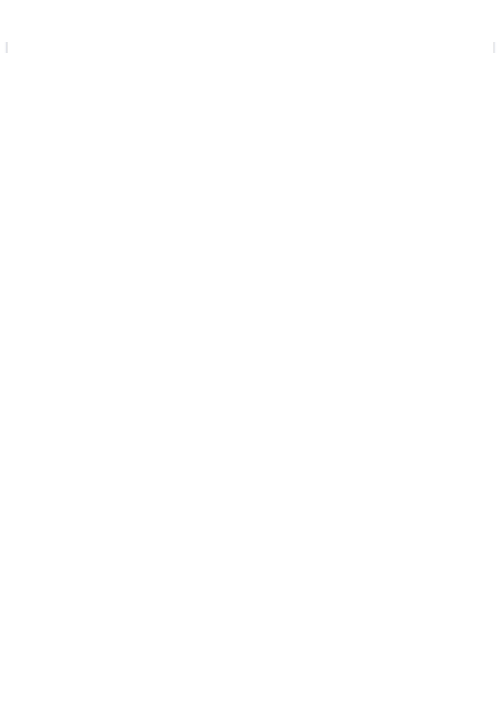$\label{eq:1}$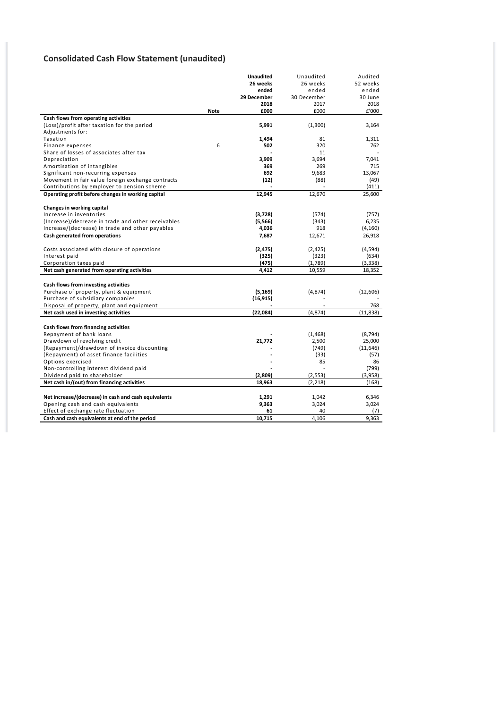## **Consolidated Cash Flow Statement (unaudited)**

|                                                      |             | <b>Unaudited</b> | Unaudited   | Audited        |
|------------------------------------------------------|-------------|------------------|-------------|----------------|
|                                                      |             | 26 weeks         | 26 weeks    | 52 weeks       |
|                                                      |             | ended            | ended       | ended          |
|                                                      |             | 29 December      | 30 December | 30 June        |
|                                                      |             | 2018             | 2017        | 2018           |
|                                                      | <b>Note</b> | £000             | £000        | £'000          |
| Cash flows from operating activities                 |             |                  |             |                |
| (Loss)/profit after taxation for the period          |             | 5,991            | (1,300)     | 3,164          |
| Adjustments for:                                     |             |                  |             |                |
| Taxation                                             |             | 1,494            | 81          | 1.311          |
| Finance expenses                                     | 6           | 502              | 320         | 762            |
| Share of losses of associates after tax              |             |                  | 11          |                |
| Depreciation                                         |             | 3,909            | 3,694       | 7,041          |
| Amortisation of intangibles                          |             | 369              | 269         | 715            |
| Significant non-recurring expenses                   |             | 692              | 9,683       | 13,067         |
| Movement in fair value foreign exchange contracts    |             | (12)             | (88)        | (49)           |
| Contributions by employer to pension scheme          |             |                  |             | (411)          |
| Operating profit before changes in working capital   |             | 12,945           | 12,670      | 25,600         |
|                                                      |             |                  |             |                |
| Changes in working capital                           |             |                  |             |                |
| Increase in inventories                              |             | (3,728)          | (574)       | (757)          |
| (Increase)/decrease in trade and other receivables   |             | (5, 566)         | (343)       | 6,235          |
| Increase/(decrease) in trade and other payables      |             | 4,036            | 918         | (4, 160)       |
| Cash generated from operations                       |             | 7,687            | 12,671      | 26,918         |
|                                                      |             |                  |             |                |
| Costs associated with closure of operations          |             | (2, 475)         | (2, 425)    | (4,594)        |
| Interest paid                                        |             | (325)            | (323)       | (634)          |
| Corporation taxes paid                               |             | (475)            | (1,789)     | (3, 338)       |
| Net cash generated from operating activities         |             | 4,412            | 10,559      | 18,352         |
|                                                      |             |                  |             |                |
| Cash flows from investing activities                 |             |                  |             |                |
| Purchase of property, plant & equipment              |             | (5, 169)         | (4, 874)    | (12,606)       |
| Purchase of subsidiary companies                     |             | (16, 915)        |             |                |
| Disposal of property, plant and equipment            |             |                  |             | 768            |
| Net cash used in investing activities                |             | (22,084)         | (4, 874)    | (11, 838)      |
|                                                      |             |                  |             |                |
| Cash flows from financing activities                 |             |                  |             |                |
| Repayment of bank loans                              |             |                  | (1, 468)    | (8, 794)       |
| Drawdown of revolving credit                         |             | 21,772           | 2,500       | 25,000         |
| (Repayment)/drawdown of invoice discounting          |             |                  | (749)       | (11, 646)      |
| (Repayment) of asset finance facilities              |             |                  | (33)        | (57)           |
| Options exercised                                    |             |                  | 85          | 86             |
| Non-controlling interest dividend paid               |             |                  |             | (799)          |
| Dividend paid to shareholder                         |             | (2,809)          | (2, 553)    | (3,958)        |
|                                                      |             |                  |             |                |
| Net cash in/(out) from financing activities          |             | 18,963           | (2, 218)    | (168)          |
|                                                      |             |                  |             |                |
| Net increase/(decrease) in cash and cash equivalents |             | 1,291            | 1,042       | 6,346<br>3,024 |
| Opening cash and cash equivalents                    |             | 9,363<br>61      | 3,024       |                |
| Effect of exchange rate fluctuation                  |             |                  | 40          | (7)            |
| Cash and cash equivalents at end of the period       |             | 10,715           | 4.106       | 9.363          |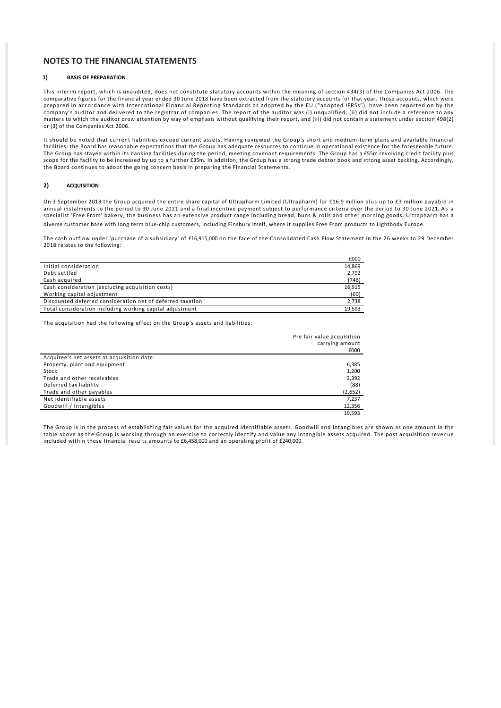## **NOTES TO THE FINANCIAL STATEMENTS**

### **1) BASIS OF PREPARATION**

This interim report, which is unaudited, does not constitute statutory accounts within the meaning of section 434(3) of the Companies Act 2006. The comparative figures for the financial year ended 30 June 2018 have been extracted from the statutory accounts for that year. Those accounts, which were prepared in accordance with International Financial Reporting Standards as adopted by the EU ("adopted IFRSs"), have been reported on by the company's auditor and delivered to the registrar of companies. The report of the auditor was (i) unqualified, (ii) did not include a reference to any matters to which the auditor drew attention by way of emphasis without qualifying their report, and (iii) did not contain a statement under section 498(2) or (3) of the Companies Act 2006.

It should be noted that current liabilities exceed current assets. Having reviewed the Group's short and medium‐term plans and available financial facilities, the Board has reasonable expectations that the Group has adequate resources to continue in operational existence for the foreseeable future. The Group has stayed within its banking facilities during the period, meeting covenant requirements. The Group has a £55m revolving credit facility plus scope for the facility to be increased by up to a further £35m. In addition, the Group has a strong trade debtor book and strong asset backing. Accordingly, the Board continues to adopt the going concern basis in preparing the Financial Statements.

### **2) ACQUISITION**

On 3 September 2018 the Group acquired the entire share capital of Ultrapharm Limited (Ultrapharm) for £16.9 million plus up to £3 million payable in annual instalments to the period to 30 June 2021 and a final incentive payment subject to performance criteria over the period to 30 June 2021. As a specialist 'Free From' bakery, the business has an extensive product range including bread, buns & rolls and other morning goods. Ultrapharm has a diverse customer base with long term blue‐chip customers, including Finsbury itself, where it supplies Free From products to Lightbody Europe.

The cash outflow under 'purchase of a subsidiary' of £16,915,000 on the face of the Consolidated Cash Flow Statement in the 26 weeks to 29 December 2018 relates to the following:

|                                                            | £000   |
|------------------------------------------------------------|--------|
| Initial consideration                                      | 14,869 |
| Debt settled                                               | 2,792  |
| Cash acquired                                              | (746)  |
| Cash consideration (excluding acquisition costs)           | 16,915 |
| Working capital adjustment                                 | (60)   |
| Discounted deferred consideration net of deferred taxation | 2,738  |
| Total consideration including working capital adjustment   | 19.593 |

The acquisition had the following effect on the Group's assets and liabilities:

|                                            | Pre fair value acquisition |
|--------------------------------------------|----------------------------|
|                                            | carrying amount            |
|                                            | £000                       |
| Acquiree's net assets at acquisition date: |                            |
| Property, plant and equipment              | 6,385                      |
| Stock                                      | 1,200                      |
| Trade and other receivables                | 2,392                      |
| Deferred tax liability                     | (88)                       |
| Trade and other payables                   | (2,652)                    |
| Net identifiable assets                    | 7,237                      |
| Goodwill / Intangibles                     | 12,356                     |
|                                            | 19,593                     |

The Group is in the process of establishing fair values for the acquired identifiable assets. Goodwill and intangibles are shown as one amount in the table above as the Group is working through an exercise to correctly identify and value any intangible assets acquired. The post acquisition revenue included within these financial results amounts to £6,458,000 and an operating profit of £240,000.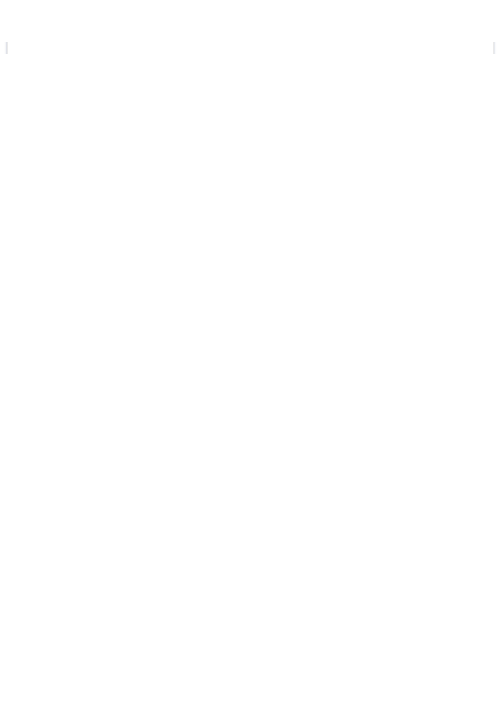l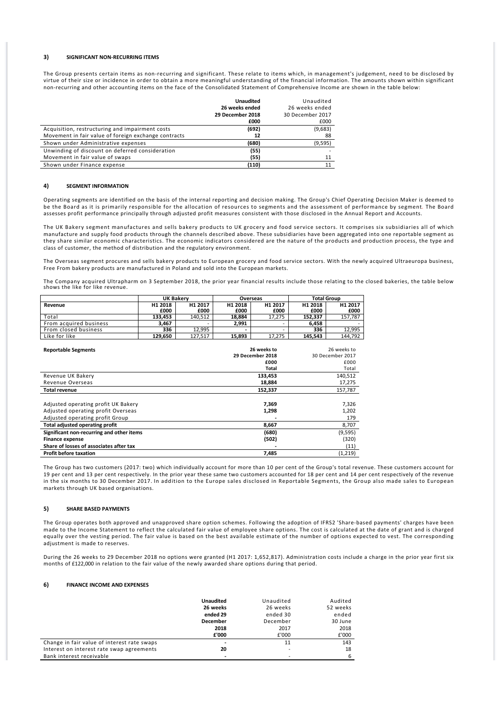### **3) SIGNIFICANT NON‐RECURRING ITEMS**

The Group presents certain items as non‐recurring and significant. These relate to items which, in management's judgement, need to be disclosed by virtue of their size or incidence in order to obtain a more meaningful understanding of the financial information. The amounts shown within significant non-recurring and other accounting items on the face of the Consolidated Statement of Comprehensive Income are shown in the table below:

|                                                      | <b>Unaudited</b> | Unaudited        |
|------------------------------------------------------|------------------|------------------|
|                                                      | 26 weeks ended   | 26 weeks ended   |
|                                                      | 29 December 2018 | 30 December 2017 |
|                                                      | £000             | £000             |
| Acquisition, restructuring and impairment costs      | (692)            | (9,683)          |
| Movement in fair value of foreign exchange contracts | 12               | 88               |
| Shown under Administrative expenses                  | (680)            | (9, 595)         |
| Unwinding of discount on deferred consideration      | (55)             |                  |
| Movement in fair value of swaps                      | (55)             | 11               |
| Shown under Finance expense                          | (110)            | 11               |

#### **4) SEGMENT INFORMATION**

Operating segments are identified on the basis of the internal reporting and decision making. The Group's Chief Operating Decision Maker is deemed to be the Board as it is primarily responsible for the allocation of resources to segments and the assessment of performance by segment. The Board assesses profit performance principally through adjusted profit measures consistent with those disclosed in the Annual Report and Accounts.

The UK Bakery segment manufactures and sells bakery products to UK grocery and food service sectors. It comprises six subsidiaries all of which manufacture and supply food products through the channels described above. These subsidiaries have been aggregated into one reportable segment as they share similar economic characteristics. The economic indicators considered are the nature of the products and production process, the type and class of customer, the method of distribution and the regulatory environment.

The Overseas segment procures and sells bakery products to European grocery and food service sectors. With the newly acquired Ultraeuropa business, Free From bakery products are manufactured in Poland and sold into the European markets.

The Company acquired Ultrapharm on 3 September 2018, the prior year financial results include those relating to the closed bakeries, the table below shows the like for like revenue.

|                        | <b>UK Bakerv</b>   |                          |                          | Overseas | <b>Total Group</b> |         |
|------------------------|--------------------|--------------------------|--------------------------|----------|--------------------|---------|
| Revenue                | H1 2017<br>H1 2018 |                          | H1 2018                  | H1 2017  | H1 2018            | H1 2017 |
|                        | £000               | £000                     | £000                     | £000     | £000               | £000    |
| Total                  | 133.453            | 140.512                  | 18.884                   | 17.275   | 152.337            | 157.787 |
| From acquired business | 3.467              | $\overline{\phantom{0}}$ | 2.991                    |          | 6.458              |         |
| From closed business   | 336                | 12.995                   | $\overline{\phantom{a}}$ |          | 336                | 12.995  |
| Like for like          | 129.650            | 127.517                  | 15.893                   | 17.275   | 145.543            | 144.792 |

| <b>Reportable Segments</b>                | 26 weeks to      | 26 weeks to      |
|-------------------------------------------|------------------|------------------|
|                                           | 29 December 2018 | 30 December 2017 |
|                                           | £000             | £000             |
|                                           | Total            | Total            |
| Revenue UK Bakery                         | 133,453          | 140,512          |
| Revenue Overseas                          | 18.884           | 17,275           |
| <b>Total revenue</b>                      | 152.337          | 157,787          |
| Adjusted operating profit UK Bakery       | 7,369            | 7,326            |
| Adjusted operating profit Overseas        | 1,298            | 1,202            |
| Adjusted operating profit Group           |                  | 179              |
| Total adjusted operating profit           | 8,667            | 8,707            |
| Significant non-recurring and other items | (680)            | (9,595)          |
| <b>Finance expense</b>                    | (502)            | (320)            |
| Share of losses of associates after tax   |                  | (11)             |
| <b>Profit before taxation</b>             | 7,485            | (1,219)          |

The Group has two customers (2017: two) which individually account for more than 10 per cent of the Group's total revenue. These customers account for 19 per cent and 13 per cent respectively. In the prior year these same two customers accounted for 18 per cent and 14 per cent respectively of the revenue in the six months to 30 December 2017. In addition to the Europe sales disclosed in Reportable Segments, the Group also made sales to European markets through UK based organisations.

### **5) SHARE BASED PAYMENTS**

The Group operates both approved and unapproved share option schemes. Following the adoption of IFRS2 'Share‐based payments' charges have been made to the Income Statement to reflect the calculated fair value of employee share options. The cost is calculated at the date of grant and is charged equally over the vesting period. The fair value is based on the best available estimate of the number of options expected to vest. The corresponding adjustment is made to reserves.

During the 26 weeks to 29 December 2018 no options were granted (H1 2017: 1,652,817). Administration costs include a charge in the prior year first six months of £122,000 in relation to the fair value of the newly awarded share options during that period.

### **6) FINANCE INCOME AND EXPENSES**

|                                             | <b>Unaudited</b><br>26 weeks | Unaudited<br>26 weeks | Audited<br>52 weeks |
|---------------------------------------------|------------------------------|-----------------------|---------------------|
|                                             | ended 29                     | ended 30              | ended               |
|                                             | <b>December</b>              | December              | 30 June             |
|                                             | 2018                         | 2017                  | 2018                |
|                                             | £'000                        | £'000                 | £'000               |
| Change in fair value of interest rate swaps | $\overline{\phantom{0}}$     | 11                    | 143                 |
| Interest on interest rate swap agreements   | 20                           |                       | 18                  |
| Bank interest receivable                    |                              |                       | 6                   |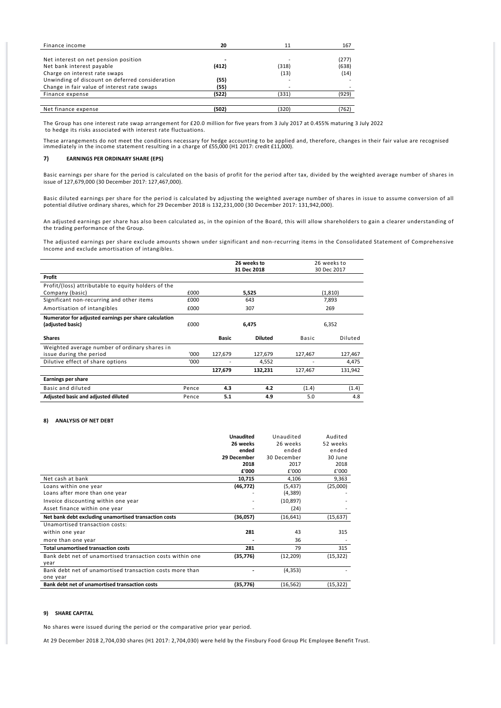| Finance income                                  | 20    | 11    | 167   |
|-------------------------------------------------|-------|-------|-------|
|                                                 |       |       |       |
| Net interest on net pension position            |       |       | (277) |
| Net bank interest payable                       | (412) | (318) | (638) |
| Charge on interest rate swaps                   |       | (13)  | (14)  |
| Unwinding of discount on deferred consideration | (55)  |       |       |
| Change in fair value of interest rate swaps     | (55)  |       |       |
| Finance expense                                 | (522) | 331)  | (929) |
|                                                 |       |       |       |
| Net finance expense                             | (502) | (320) | (762) |

The Group has one interest rate swap arrangement for £20.0 million for five years from 3 July 2017 at 0.455% maturing 3 July 2022 to hedge its risks associated with interest rate fluctuations.

These arrangements do not meet the conditions necessary for hedge accounting to be applied and, therefore, changes in their fair value are recognised<br>immediately in the income statement resulting in a charge of £55,000 (H1

## **7) EARNINGS PER ORDINARY SHARE (EPS)**

Basic earnings per share for the period is calculated on the basis of profit for the period after tax, divided by the weighted average number of shares in issue of 127,679,000 (30 December 2017: 127,467,000).

Basic diluted earnings per share for the period is calculated by adjusting the weighted average number of shares in issue to assume conversion of all potential dilutive ordinary shares, which for 29 December 2018 is 132,231,000 (30 December 2017: 131,942,000).

An adjusted earnings per share has also been calculated as, in the opinion of the Board, this will allow shareholders to gain a clearer understanding of the trading performance of the Group.

The adjusted earnings per share exclude amounts shown under significant and non‐recurring items in the Consolidated Statement of Comprehensive Income and exclude amortisation of intangibles.

|                                                                           |       |              | 26 weeks to    |             | 26 weeks to |
|---------------------------------------------------------------------------|-------|--------------|----------------|-------------|-------------|
|                                                                           |       | 31 Dec 2018  |                | 30 Dec 2017 |             |
| Profit                                                                    |       |              |                |             |             |
| Profit/(loss) attributable to equity holders of the                       |       |              |                |             |             |
| Company (basic)                                                           | £000  | 5,525        |                | (1, 810)    |             |
| Significant non-recurring and other items                                 | £000  | 643          |                | 7.893       |             |
| Amortisation of intangibles                                               | £000  | 307          |                | 269         |             |
| Numerator for adjusted earnings per share calculation<br>(adjusted basic) | £000  | 6.475        |                |             | 6,352       |
| <b>Shares</b>                                                             |       | <b>Basic</b> | <b>Diluted</b> | Basic       | Diluted     |
| Weighted average number of ordinary shares in                             |       |              |                |             |             |
| issue during the period                                                   | '000  | 127,679      | 127,679        | 127,467     | 127,467     |
| Dilutive effect of share options                                          | '000  |              | 4,552          |             | 4,475       |
|                                                                           |       | 127,679      | 132,231        | 127,467     | 131,942     |
| <b>Earnings per share</b>                                                 |       |              |                |             |             |
| Basic and diluted                                                         | Pence | 4.3          | 4.2            | (1.4)       | (1.4)       |
| Adjusted basic and adjusted diluted                                       | Pence | 5.1          | 4.9            | 5.0         | 4.8         |

### **8) ANALYSIS OF NET DEBT**

|                                                           | <b>Unaudited</b> | Unaudited   | Audited   |
|-----------------------------------------------------------|------------------|-------------|-----------|
|                                                           | 26 weeks         | 26 weeks    | 52 weeks  |
|                                                           | ended            | ended       | ended     |
|                                                           | 29 December      | 30 December | 30 June   |
|                                                           | 2018             | 2017        | 2018      |
|                                                           | £'000            | £'000       | £'000     |
| Net cash at bank                                          | 10,715           | 4,106       | 9,363     |
| Loans within one year                                     | (46, 772)        | (5, 437)    | (25,000)  |
| Loans after more than one year                            |                  | (4, 389)    |           |
| Invoice discounting within one year                       |                  | (10, 897)   |           |
| Asset finance within one year                             |                  | (24)        |           |
| Net bank debt excluding unamortised transaction costs     | (36,057)         | (16, 641)   | (15, 637) |
| Unamortised transaction costs:                            |                  |             |           |
| within one year                                           | 281              | 43          | 315       |
| more than one year                                        |                  | 36          |           |
| <b>Total unamortised transaction costs</b>                | 281              | 79          | 315       |
| Bank debt net of unamortised transaction costs within one | (35, 776)        | (12, 209)   | (15, 322) |
| year                                                      |                  |             |           |
| Bank debt net of unamortised transaction costs more than  |                  | (4, 353)    |           |
| one year                                                  |                  |             |           |
| Bank debt net of unamortised transaction costs            | (35, 776)        | (16, 562)   | (15, 322) |

### **9) SHARE CAPITAL**

No shares were issued during the period or the comparative prior year period.

At 29 December 2018 2,704,030 shares (H1 2017: 2,704,030) were held by the Finsbury Food Group Plc Employee Benefit Trust.